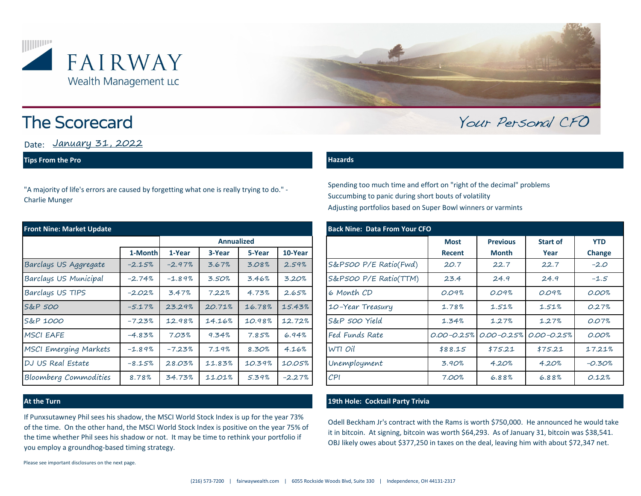



# **The Scorecard**

Date: <u>January 31, 2022</u>

### **Tips From the Pro**

"A majority of life's errors are caused by forgetting what one is really trying to do." - Charlie Munger

| <b>Front Nine: Market Update</b> |          |                   |        |        |          | <b>Back Nine: Data From Your CFO</b> |                       |             |                 |                                                 |            |
|----------------------------------|----------|-------------------|--------|--------|----------|--------------------------------------|-----------------------|-------------|-----------------|-------------------------------------------------|------------|
|                                  |          | <b>Annualized</b> |        |        |          |                                      |                       | <b>Most</b> | <b>Previous</b> | <b>Start of</b>                                 | <b>YTD</b> |
|                                  | 1-Month  | 1-Year            | 3-Year | 5-Year | 10-Year  |                                      |                       | Recent      | <b>Month</b>    | Year                                            | Change     |
| Barclays US Aggregate            | $-2.15%$ | $-2.97%$          | 3.67%  | 3.08%  | 2.59%    |                                      | S&P500 P/E Ratio(Fwd) | 20.7        | 22.7            | 22.7                                            | $-2.0$     |
| Barclays US Municipal            | $-2.74%$ | $-1.89%$          | 3.50%  | 3.46%  | 3.20%    |                                      | S&P500 P/E Ratio(TTM) | 23.4        | 24.9            | 24.9                                            | $-1.5$     |
| Barclays US TIPS                 | $-2.02%$ | 3.47%             | 7.22%  | 4.73%  | 2.65%    |                                      | 6 Month CD            | 0.09%       | 0.09%           | 0.09%                                           | 0.00%      |
| S&P 500                          | $-5.17%$ | 23.29%            | 20.71% | 16.78% | 15.43%   |                                      | 10-Year Treasury      | 1.78%       | 1.51%           | 1.51%                                           | 0.27%      |
| S&P 1000                         | $-7.23%$ | 12.98%            | 14.16% | 10.98% | 12.72%   |                                      | S&P 500 Yield         | 1.34%       | 1.27%           | 1.27%                                           | 0.07%      |
| <b>MSCI EAFE</b>                 | $-4.83%$ | 7.03%             | 9.34%  | 7.85%  | 6.94%    |                                      | Fed Funds Rate        |             |                 | $0.00 - 0.25\%$ $0.00 - 0.25\%$ $0.00 - 0.25\%$ | 0.00%      |
| <b>MSCI Emerging Markets</b>     | $-1.89%$ | $-7.23%$          | 7.19%  | 8.30%  | 4.16%    |                                      | WTI Oil               | \$88.15     | \$75.21         | \$75.21                                         | 17.21%     |
| DJ US Real Estate                | $-8.15%$ | 28.03%            | 11.83% | 10.39% | 10.05%   |                                      | Unemployment          | 3.90%       | 4.20%           | 4.20%                                           | $-0.30%$   |
| Bloomberg Commodities            | 8.78%    | 34.73%            | 11.01% | 5.39%  | $-2.27%$ |                                      | CPI                   | 7.00%       | 6.88%           | 6.88%                                           | 0.12%      |

If Punxsutawney Phil sees his shadow, the MSCI World Stock Index is up for the year 73% of the time. On the other hand, the MSCI World Stock Index is positive on the year 75% of the time whether Phil sees his shadow or not. It may be time to rethink your portfolio if you employ a groundhog-based timing strategy.

Please see important disclosures on the next page.

### **Hazards**

Spending too much time and effort on "right of the decimal" problems Succumbing to panic during short bouts of volatility Adjusting portfolios based on Super Bowl winners or varmints

|           |                   |        |        |          | <b>Back Nine: Data From Your CFO</b> |               |                                                 |                 |            |  |  |  |
|-----------|-------------------|--------|--------|----------|--------------------------------------|---------------|-------------------------------------------------|-----------------|------------|--|--|--|
|           | <b>Annualized</b> |        |        |          |                                      | <b>Most</b>   | <b>Previous</b>                                 | <b>Start of</b> | <b>YTD</b> |  |  |  |
| 1-Month   | 1-Year            | 3-Year | 5-Year | 10-Year  |                                      | <b>Recent</b> | <b>Month</b>                                    | Year            | Change     |  |  |  |
| $-2.15%$  | $-2.97%$          | 3.67%  | 3.08%  | 2.59%    | S&P500 P/E Ratio(Fwd)                | 20.7          | 22.7                                            | 22.7            | $-2.0$     |  |  |  |
| $-2.74\%$ | $-1.89%$          | 3.50%  | 3.46%  | 3.20%    | S&P500 P/E Ratio(TTM)                | 23.4          | 24.9                                            | 24.9            | $-1.5$     |  |  |  |
| $-2.02%$  | 3.47%             | 7.22%  | 4.73%  | 2.65%    | 6 Month CD                           | 0.09%         | 0.09%                                           | 0.09%           | 0.00%      |  |  |  |
| $-5.17%$  | 23.29%            | 20.71% | 16.78% | 15.43%   | 10-Year Treasury                     | 1.78%         | 1.51%                                           | 1.51%           | 0.27%      |  |  |  |
| $-7.23%$  | 12.98%            | 14.16% | 10.98% | 12.72%   | S&P 500 Yield                        | 1.34%         | 1.27%                                           | 1.27%           | 0.07%      |  |  |  |
| $-4.83%$  | 7.03%             | 9.34%  | 7.85%  | 6.94%    | Fed Funds Rate                       |               | $0.00 - 0.25\%$ $0.00 - 0.25\%$ $0.00 - 0.25\%$ |                 | 0.00%      |  |  |  |
| $-1.89%$  | $-7.23%$          | 7.19%  | 8.30%  | 4.16%    | WTI Oil                              | \$88.15       | \$75.21                                         | \$75.21         | 17.21%     |  |  |  |
| $-8.15\%$ | 28.03%            | 11.83% | 10.39% | 10.05%   | Unemployment                         | 3.90%         | 4.20%                                           | 4.20%           | $-0.30%$   |  |  |  |
| 8.78%     | 34.73%            | 11.01% | 5.39%  | $-2.27%$ | CPI                                  | 7.00%         | 6.88%                                           | 6.88%           | 0.12%      |  |  |  |

Your Personal CFO

### **At the Turn 19th Hole: Cocktail Party Trivia**

Odell Beckham Jr's contract with the Rams is worth \$750,000. He announced he would take it in bitcoin. At signing, bitcoin was worth \$64,293. As of January 31, bitcoin was \$38,541. OBJ likely owes about \$377,250 in taxes on the deal, leaving him with about \$72,347 net.